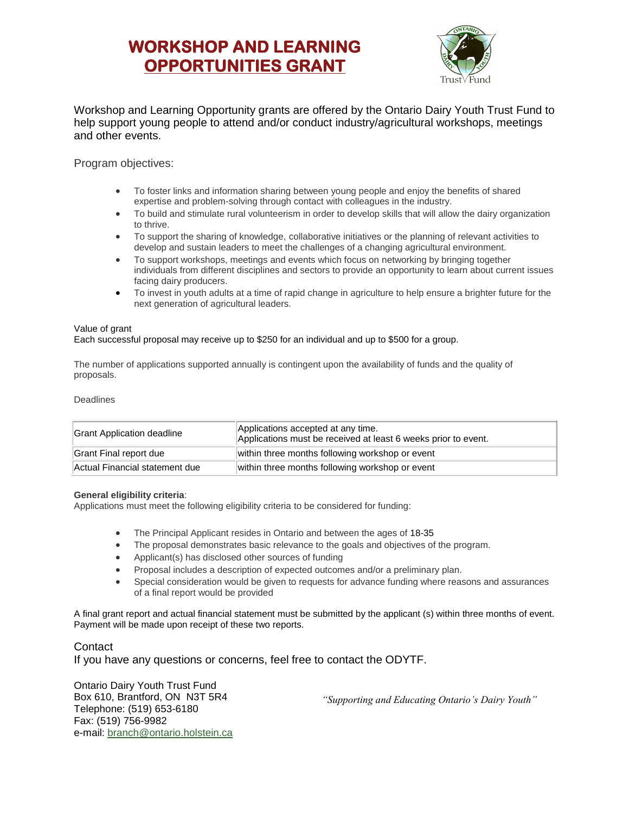# **WORKSHOP AND LEARNING OPPORTUNITIES GRANT**



Workshop and Learning Opportunity grants are offered by the Ontario Dairy Youth Trust Fund to help support young people to attend and/or conduct industry/agricultural workshops, meetings and other events.

#### Program objectives:

- To foster links and information sharing between young people and enjoy the benefits of shared expertise and problem-solving through contact with colleagues in the industry.
- To build and stimulate rural volunteerism in order to develop skills that will allow the dairy organization to thrive.
- To support the sharing of knowledge, collaborative initiatives or the planning of relevant activities to develop and sustain leaders to meet the challenges of a changing agricultural environment.
- To support workshops, meetings and events which focus on networking by bringing together individuals from different disciplines and sectors to provide an opportunity to learn about current issues facing dairy producers.
- To invest in youth adults at a time of rapid change in agriculture to help ensure a brighter future for the next generation of agricultural leaders.

#### Value of grant

#### Each successful proposal may receive up to \$250 for an individual and up to \$500 for a group.

The number of applications supported annually is contingent upon the availability of funds and the quality of proposals.

#### Deadlines

| Grant Application deadline     | Applications accepted at any time.<br>Applications must be received at least 6 weeks prior to event. |
|--------------------------------|------------------------------------------------------------------------------------------------------|
| Grant Final report due         | within three months following workshop or event                                                      |
| Actual Financial statement due | within three months following workshop or event                                                      |

#### **General eligibility criteria**:

Applications must meet the following eligibility criteria to be considered for funding:

- The Principal Applicant resides in Ontario and between the ages of 18-35
- The proposal demonstrates basic relevance to the goals and objectives of the program.
- Applicant(s) has disclosed other sources of funding
- Proposal includes a description of expected outcomes and/or a preliminary plan.
- Special consideration would be given to requests for advance funding where reasons and assurances of a final report would be provided

A final grant report and actual financial statement must be submitted by the applicant (s) within three months of event. Payment will be made upon receipt of these two reports.

#### **Contact**

If you have any questions or concerns, feel free to contact the ODYTF.

Ontario Dairy Youth Trust Fund Box 610, Brantford, ON N3T 5R4 Telephone: (519) 653-6180 Fax: (519) 756-9982 e-mail: [branch@ontario.holstein.ca](mailto:branch@ontario.holstein.ca)

*"Supporting and Educating Ontario's Dairy Youth"*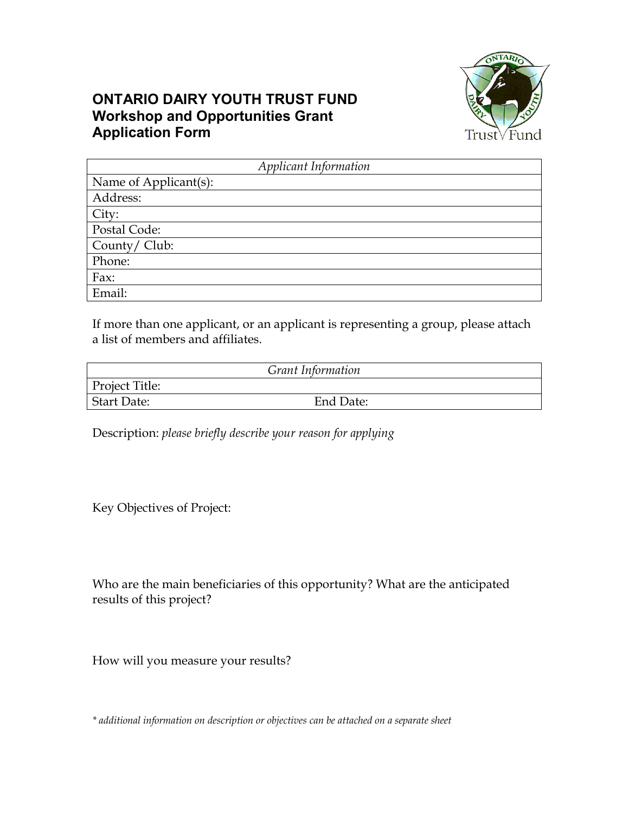## **ONTARIO DAIRY YOUTH TRUST FUND Workshop and Opportunities Grant Application Form**



| Applicant Information |  |  |  |
|-----------------------|--|--|--|
| Name of Applicant(s): |  |  |  |
| Address:              |  |  |  |
| City:                 |  |  |  |
| Postal Code:          |  |  |  |
| County/ Club:         |  |  |  |
| Phone:                |  |  |  |
| Fax:                  |  |  |  |
| Email:                |  |  |  |

If more than one applicant, or an applicant is representing a group, please attach a list of members and affiliates.

| Grant Information |           |  |  |  |
|-------------------|-----------|--|--|--|
| Project Title:    |           |  |  |  |
| Start Date:       | End Date: |  |  |  |

Description: *please briefly describe your reason for applying*

Key Objectives of Project:

Who are the main beneficiaries of this opportunity? What are the anticipated results of this project?

How will you measure your results?

*\* additional information on description or objectives can be attached on a separate sheet*